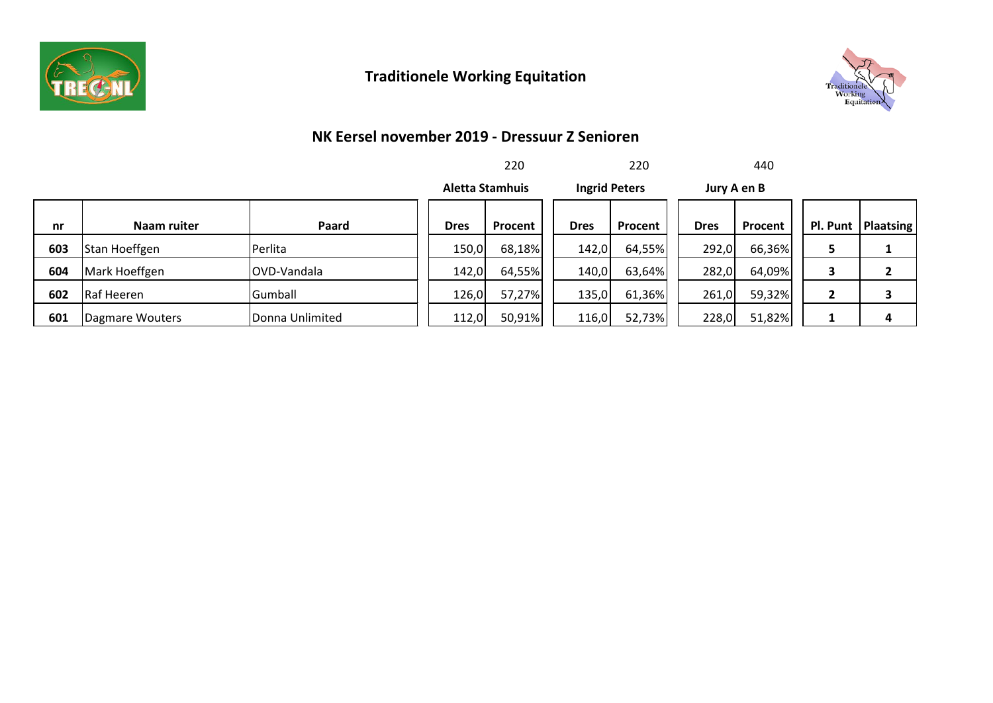

## **Traditionele Working Equitation**



#### **NK Eersel november 2019 - Dressuur Z Senioren**

|     |                 |                 |                                                | 220     |             | 220     |             | 440     |    |                      |
|-----|-----------------|-----------------|------------------------------------------------|---------|-------------|---------|-------------|---------|----|----------------------|
|     |                 |                 | <b>Ingrid Peters</b><br><b>Aletta Stamhuis</b> |         | Jury A en B |         |             |         |    |                      |
| nr  | Naam ruiter     | Paard           | <b>Dres</b>                                    | Procent | <b>Dres</b> | Procent | <b>Dres</b> | Procent |    | Pl. Punt   Plaatsing |
| 603 | Stan Hoeffgen   | Perlita         | 150,0                                          | 68,18%  | 142,0       | 64,55%  | 292,0       | 66,36%  | 5. | ∸                    |
| 604 | Mark Hoeffgen   | OVD-Vandala     | 142,0                                          | 64,55%  | 140,0       | 63,64%  | 282,0       | 64,09%  |    | 2                    |
| 602 | Raf Heeren      | Gumball         | 126,0                                          | 57,27%  | 135,0       | 61,36%  | 261,0       | 59,32%  |    | 3                    |
| 601 | Dagmare Wouters | Donna Unlimited | 112,0                                          | 50,91%  | 116,0       | 52,73%  | 228,0       | 51,82%  |    | 4                    |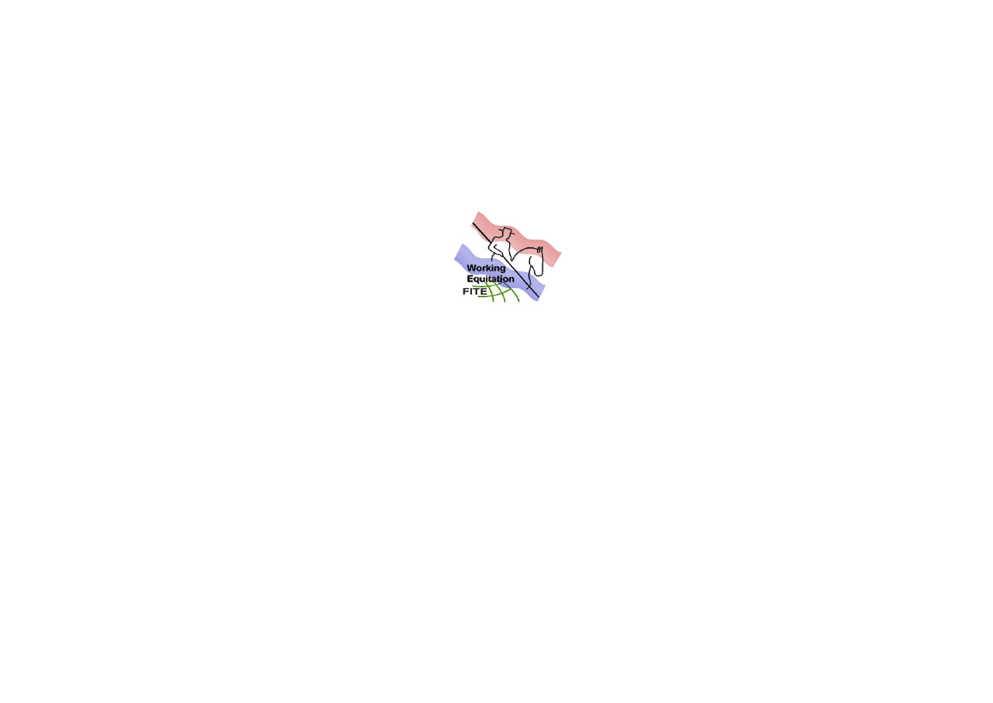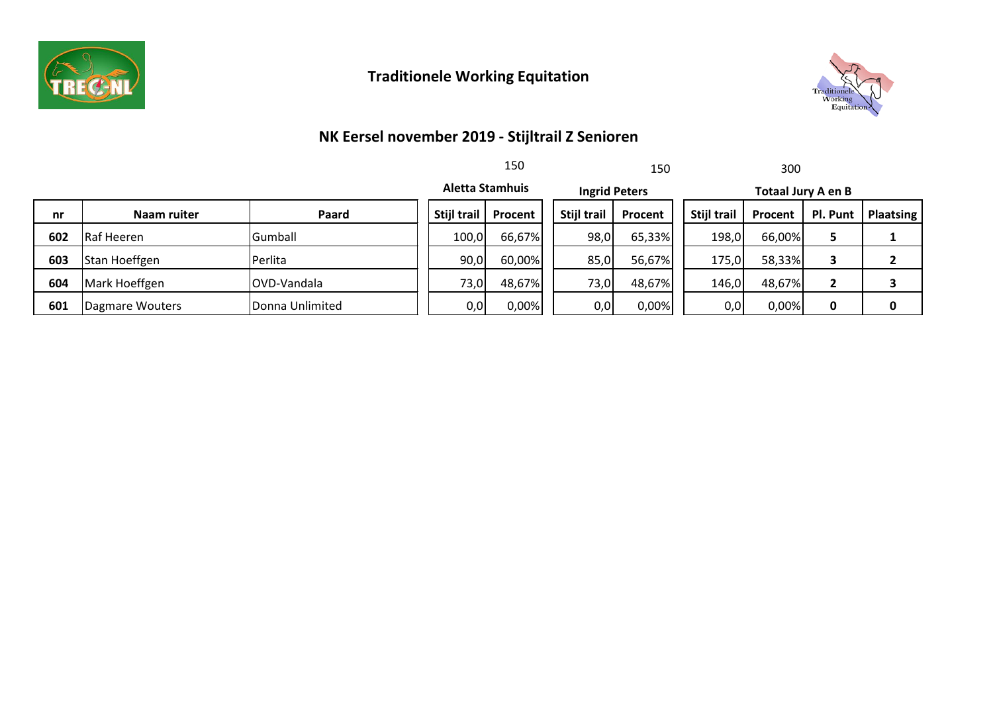

# **Traditionele Working Equitation**



### **NK Eersel november 2019 - Stijltrail Z Senioren**

|     |                 |                 |             | 150<br>150             |                      |         |                           | 300     |          |           |
|-----|-----------------|-----------------|-------------|------------------------|----------------------|---------|---------------------------|---------|----------|-----------|
|     |                 |                 |             | <b>Aletta Stamhuis</b> | <b>Ingrid Peters</b> |         | <b>Totaal Jury A en B</b> |         |          |           |
| nr  | Naam ruiter     | Paard           | Stijl trail | Procent                | Stijl trail          | Procent | Stijl trail               | Procent | Pl. Punt | Plaatsing |
| 602 | Raf Heeren      | Gumball         | 100,0       | 66,67%                 | 98,0                 | 65,33%  | 198,0                     | 66,00%  |          |           |
| 603 | Stan Hoeffgen   | <b>Perlita</b>  | 90,0        | 60,00%                 | 85,0                 | 56,67%  | 175,0                     | 58,33%  |          |           |
| 604 | Mark Hoeffgen   | IOVD-Vandala    | 73,0        | 48,67%                 | 73,0                 | 48,67%  | 146,0                     | 48,67%  |          |           |
| 601 | Dagmare Wouters | Donna Unlimited | 0,0         | 0,00%                  | 0,0                  | 0,00%   | 0,0                       | 0,00%   |          | 0         |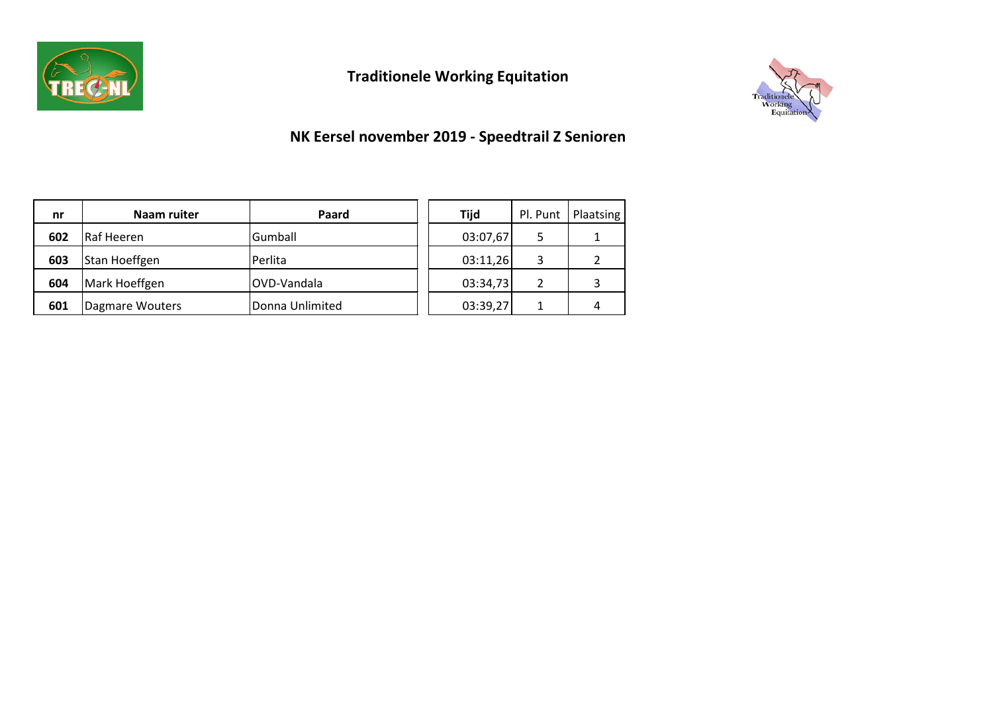

# **Traditionele Working Equitation**



### **NK Eersel november 2019 - Speedtrail Z Senioren**

| nr  | Naam ruiter     | Paard           | <b>Tijd</b> |   | Pl. Punt   Plaatsing |
|-----|-----------------|-----------------|-------------|---|----------------------|
| 602 | Raf Heeren      | Gumball         | 03:07,67    | 5 |                      |
| 603 | Stan Hoeffgen   | Perlita         | 03:11,26    | 3 |                      |
| 604 | Mark Hoeffgen   | OVD-Vandala     | 03:34,73    | 2 |                      |
| 601 | Dagmare Wouters | Donna Unlimited | 03:39,27    |   |                      |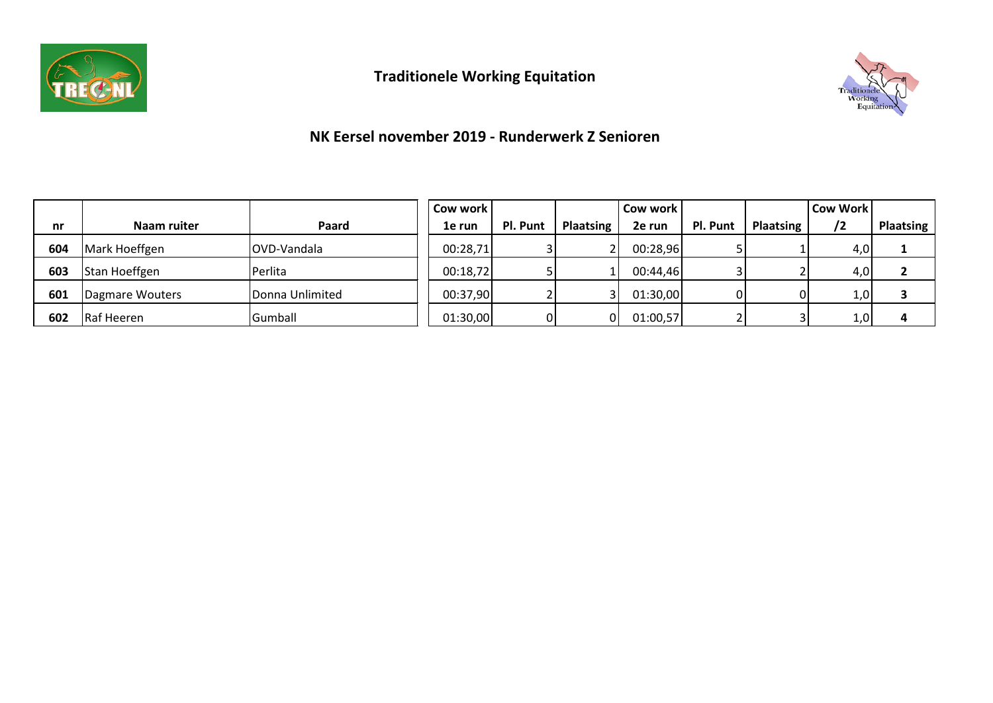



### **NK Eersel november 2019 - Runderwerk Z Senioren**

|     |                 |                 | Cow work |          |                  | Cow work |          |                  | <b>Cow Work</b> |                  |
|-----|-----------------|-----------------|----------|----------|------------------|----------|----------|------------------|-----------------|------------------|
| nr  | Naam ruiter     | Paard           | 1e run   | Pl. Punt | <b>Plaatsing</b> | 2e run   | Pl. Punt | <b>Plaatsing</b> | /2              | <b>Plaatsing</b> |
| 604 | Mark Hoeffgen   | OVD-Vandala     | 00:28,71 |          |                  | 00:28,96 |          |                  | 4,0             |                  |
| 603 | Stan Hoeffgen   | Perlita         | 00:18,72 |          |                  | 00:44,46 |          |                  | 4,0             |                  |
| 601 | Dagmare Wouters | Donna Unlimited | 00:37,90 |          |                  | 01:30,00 |          |                  | 1,0             |                  |
| 602 | Raf Heeren      | <b>Gumball</b>  | 01:30,00 | ΩI       | ΩI               | 01:00,57 |          |                  | 1,0             |                  |